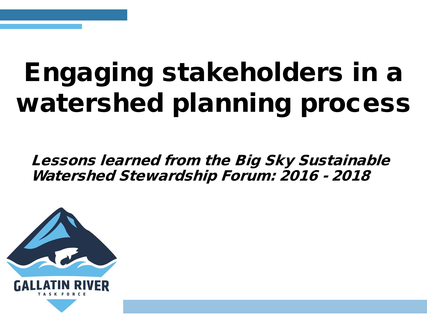# Engaging stakeholders in a watershed planning process

Lessons learned from the Big Sky Sustainable Watershed Stewardship Forum: 2016 - 2018

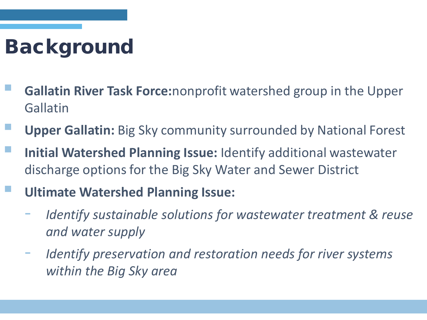## Background

- **Gallatin River Task Force:**nonprofit watershed group in the Upper Gallatin
- **Upper Gallatin:** Big Sky community surrounded by National Forest
- **Initial Watershed Planning Issue:** Identify additional wastewater discharge options for the Big Sky Water and Sewer District
	- **Ultimate Watershed Planning Issue:** 
		- *Identify sustainable solutions for wastewater treatment & reuse and water supply*
		- *Identify preservation and restoration needs for river systems within the Big Sky area*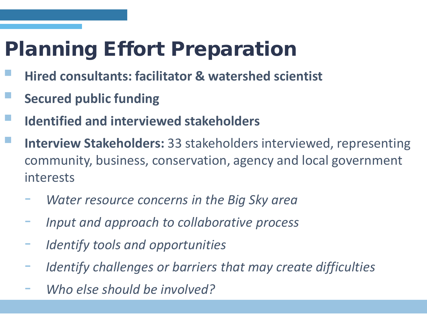## Planning Effort Preparation

- **Hired consultants: facilitator & watershed scientist**
- **Secured public funding**
- **Identified and interviewed stakeholders**
- **Interview Stakeholders:** 33 stakeholders interviewed, representing community, business, conservation, agency and local government interests
	- *Water resource concerns in the Big Sky area*
	- *Input and approach to collaborative process*
	- *Identify tools and opportunities*
	- *Identify challenges or barriers that may create difficulties*
	- *Who else should be involved?*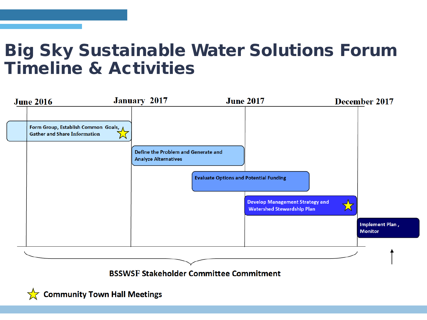### Big Sky Sustainable Water Solutions Forum Timeline & Activities



 $\sqrt{\phantom{a}}$  Community Town Hall Meetings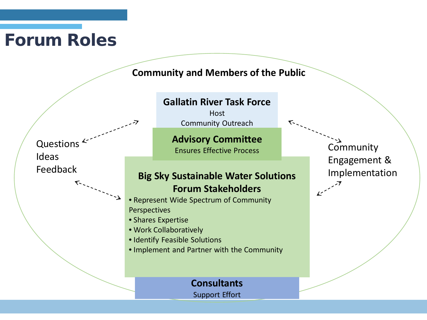### Forum Roles

#### **Community and Members of the Public**

**Big Sky Sustainable Water Solutions Forum Stakeholders** • Represent Wide Spectrum of Community Perspectives • Shares Expertise • Work Collaboratively • Identify Feasible Solutions • Implement and Partner with the Community **Gallatin River Task Force Host** Community Outreach **Advisory Committee** Ensures Effective Process Questions<sup>2</sup> Ideas Feedback **Community** Engagement & Implementation **Consultants** Support Effort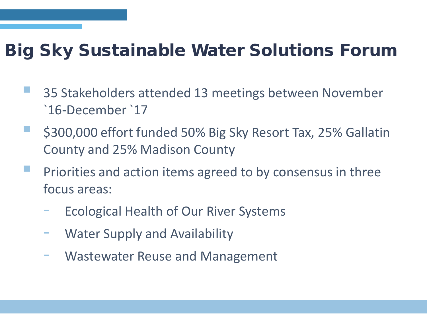### Big Sky Sustainable Water Solutions Forum

- 35 Stakeholders attended 13 meetings between November `16-December `17
- \$300,000 effort funded 50% Big Sky Resort Tax, 25% Gallatin County and 25% Madison County
- **Priorities and action items agreed to by consensus in three** focus areas:
	- Ecological Health of Our River Systems
	- Water Supply and Availability
	- Wastewater Reuse and Management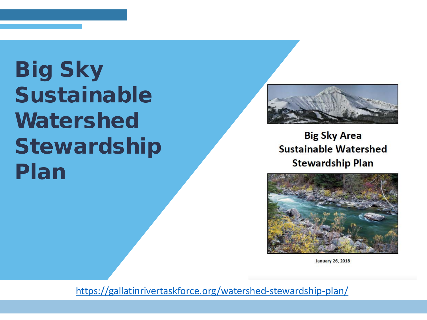## Big Sky Sustainable Watershed Stewardship Plan



**Big Sky Area Sustainable Watershed Stewardship Plan** 



**January 26, 2018** 

<https://gallatinrivertaskforce.org/watershed-stewardship-plan/>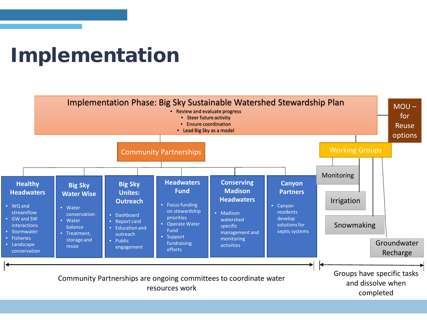### Implementation